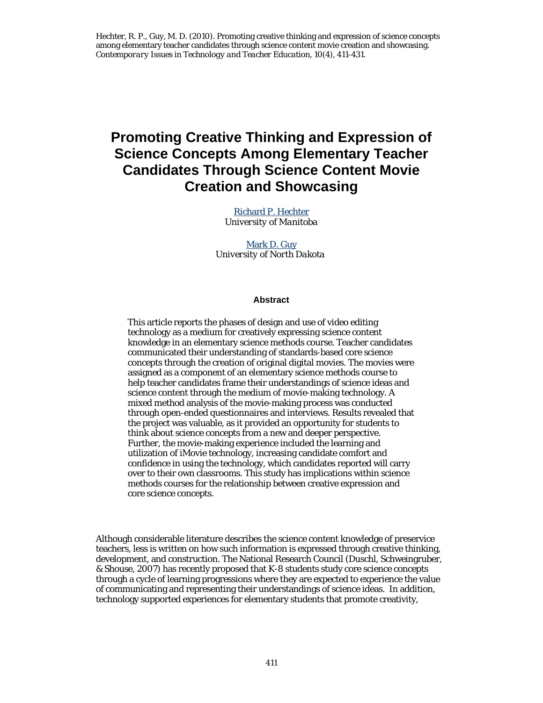# **Promoting Creative Thinking and Expression of Science Concepts Among Elementary Teacher Candidates Through Science Content Movie Creation and Showcasing**

Richard P. Hechter *University of Manitoba*

Mark D. Guy *University of North Dakota*

#### **Abstract**

This article reports the phases of design and use of video editing technology as a medium for creatively expressing science content knowledge in an elementary science methods course. Teacher candidates communicated their understanding of standards-based core science concepts through the creation of original digital movies. The movies were assigned as a component of an elementary science methods course to help teacher candidates frame their understandings of science ideas and science content through the medium of movie-making technology. A mixed method analysis of the movie-making process was conducted through open-ended questionnaires and interviews. Results revealed that the project was valuable, as it provided an opportunity for students to think about science concepts from a new and deeper perspective. Further, the movie-making experience included the learning and utilization of iMovie technology, increasing candidate comfort and confidence in using the technology, which candidates reported will carry over to their own classrooms. This study has implications within science methods courses for the relationship between creative expression and core science concepts.

Although considerable literature describes the science content knowledge of preservice teachers, less is written on how such information is expressed through creative thinking, development, and construction. The National Research Council (Duschl, Schweingruber, & Shouse, 2007) has recently proposed that K-8 students study core science concepts through a cycle of learning progressions where they are expected to experience the value of communicating and representing their understandings of science ideas. In addition, technology supported experiences for elementary students that promote creativity,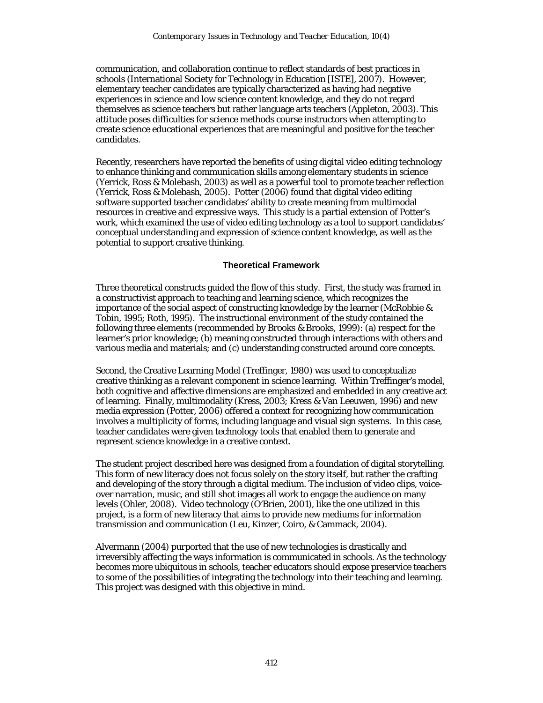communication, and collaboration continue to reflect standards of best practices in schools (International Society for Technology in Education [ISTE], 2007). However, elementary teacher candidates are typically characterized as having had negative experiences in science and low science content knowledge, and they do not regard themselves as science teachers but rather language arts teachers (Appleton, 2003). This attitude poses difficulties for science methods course instructors when attempting to create science educational experiences that are meaningful and positive for the teacher candidates.

Recently, researchers have reported the benefits of using digital video editing technology to enhance thinking and communication skills among elementary students in science (Yerrick, Ross & Molebash, 2003) as well as a powerful tool to promote teacher reflection (Yerrick, Ross & Molebash, 2005). Potter (2006) found that digital video editing software supported teacher candidates' ability to create meaning from multimodal resources in creative and expressive ways. This study is a partial extension of Potter's work, which examined the use of video editing technology as a tool to support candidates' conceptual understanding and expression of science content knowledge, as well as the potential to support creative thinking.

### **Theoretical Framework**

Three theoretical constructs guided the flow of this study. First, the study was framed in a constructivist approach to teaching and learning science, which recognizes the importance of the social aspect of constructing knowledge by the learner (McRobbie & Tobin, 1995; Roth, 1995). The instructional environment of the study contained the following three elements (recommended by Brooks & Brooks, 1999): (a) respect for the learner's prior knowledge; (b) meaning constructed through interactions with others and various media and materials; and (c) understanding constructed around core concepts.

Second, the Creative Learning Model (Treffinger, 1980) was used to conceptualize creative thinking as a relevant component in science learning. Within Treffinger's model, both cognitive and affective dimensions are emphasized and embedded in any creative act of learning. Finally, multimodality (Kress, 2003; Kress & Van Leeuwen, 1996) and new media expression (Potter, 2006) offered a context for recognizing how communication involves a multiplicity of forms, including language and visual sign systems. In this case, teacher candidates were given technology tools that enabled them to generate and represent science knowledge in a creative context.

The student project described here was designed from a foundation of digital storytelling. This form of new literacy does not focus solely on the story itself, but rather the crafting and developing of the story through a digital medium. The inclusion of video clips, voiceover narration, music, and still shot images all work to engage the audience on many levels (Ohler, 2008). Video technology (O'Brien, 2001), like the one utilized in this project, is a form of new literacy that aims to provide new mediums for information transmission and communication (Leu, Kinzer, Coiro, & Cammack, 2004).

Alvermann (2004) purported that the use of new technologies is drastically and irreversibly affecting the ways information is communicated in schools. As the technology becomes more ubiquitous in schools, teacher educators should expose preservice teachers to some of the possibilities of integrating the technology into their teaching and learning. This project was designed with this objective in mind.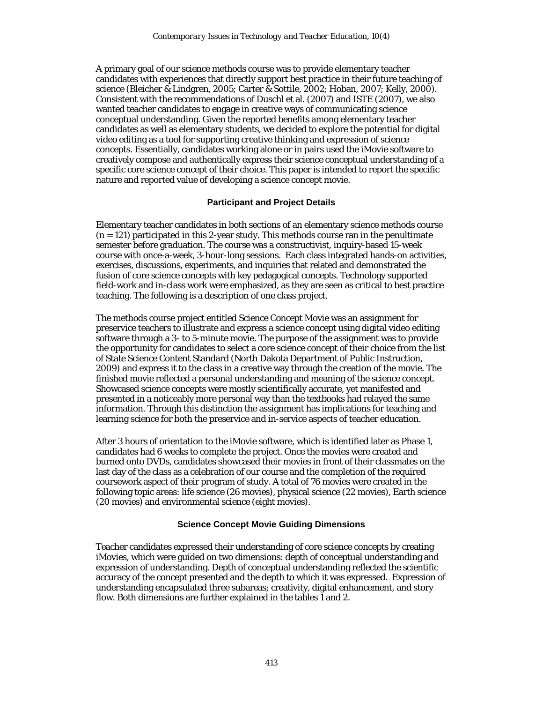A primary goal of our science methods course was to provide elementary teacher candidates with experiences that directly support best practice in their future teaching of science (Bleicher & Lindgren, 2005; Carter & Sottile, 2002; Hoban, 2007; Kelly, 2000). Consistent with the recommendations of Duschl et al. (2007) and ISTE (2007), we also wanted teacher candidates to engage in creative ways of communicating science conceptual understanding. Given the reported benefits among elementary teacher candidates as well as elementary students, we decided to explore the potential for digital video editing as a tool for supporting creative thinking and expression of science concepts. Essentially, candidates working alone or in pairs used the iMovie software to creatively compose and authentically express their science conceptual understanding of a specific core science concept of their choice. This paper is intended to report the specific nature and reported value of developing a science concept movie.

### **Participant and Project Details**

Elementary teacher candidates in both sections of an elementary science methods course (*n* = 121) participated in this 2-year study. This methods course ran in the penultimate semester before graduation. The course was a constructivist, inquiry-based 15-week course with once-a-week, 3-hour-long sessions. Each class integrated hands-on activities, exercises, discussions, experiments, and inquiries that related and demonstrated the fusion of core science concepts with key pedagogical concepts. Technology supported field-work and in-class work were emphasized, as they are seen as critical to best practice teaching. The following is a description of one class project.

The methods course project entitled Science Concept Movie was an assignment for preservice teachers to illustrate and express a science concept using digital video editing software through a 3- to 5-minute movie. The purpose of the assignment was to provide the opportunity for candidates to select a core science concept of their choice from the list of State Science Content Standard (North Dakota Department of Public Instruction, 2009) and express it to the class in a creative way through the creation of the movie. The finished movie reflected a personal understanding and meaning of the science concept. Showcased science concepts were mostly scientifically accurate, yet manifested and presented in a noticeably more personal way than the textbooks had relayed the same information. Through this distinction the assignment has implications for teaching and learning science for both the preservice and in-service aspects of teacher education.

After 3 hours of orientation to the iMovie software, which is identified later as Phase 1, candidates had 6 weeks to complete the project. Once the movies were created and burned onto DVDs, candidates showcased their movies in front of their classmates on the last day of the class as a celebration of our course and the completion of the required coursework aspect of their program of study. A total of 76 movies were created in the following topic areas: life science (26 movies), physical science (22 movies), Earth science (20 movies) and environmental science (eight movies).

### **Science Concept Movie Guiding Dimensions**

Teacher candidates expressed their understanding of core science concepts by creating iMovies, which were guided on two dimensions: depth of conceptual understanding and expression of understanding. Depth of conceptual understanding reflected the scientific accuracy of the concept presented and the depth to which it was expressed. Expression of understanding encapsulated three subareas; creativity, digital enhancement, and story flow. Both dimensions are further explained in the tables 1 and 2.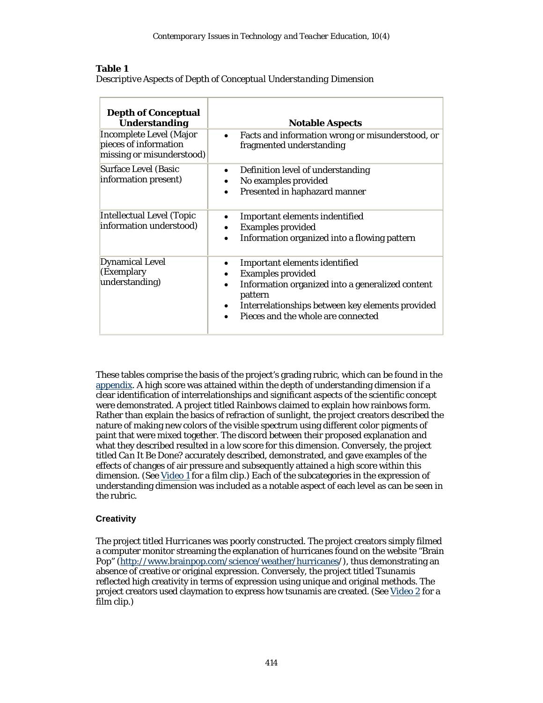### **Table 1**

|  |  |  |  | Descriptive Aspects of Depth of Conceptual Understanding Dimension |
|--|--|--|--|--------------------------------------------------------------------|

| <b>Depth of Conceptual</b><br><b>Understanding</b>                            | <b>Notable Aspects</b>                                                                                                                                                                                                          |
|-------------------------------------------------------------------------------|---------------------------------------------------------------------------------------------------------------------------------------------------------------------------------------------------------------------------------|
| Incomplete Level (Major<br>pieces of information<br>missing or misunderstood) | Facts and information wrong or misunderstood, or<br>$\bullet$<br>fragmented understanding                                                                                                                                       |
| <b>Surface Level (Basic</b><br>information present)                           | Definition level of understanding<br>$\bullet$<br>No examples provided<br>Presented in haphazard manner                                                                                                                         |
| Intellectual Level (Topic<br>information understood)                          | Important elements indentified<br><b>Examples provided</b><br>Information organized into a flowing pattern<br>$\bullet$                                                                                                         |
| <b>Dynamical Level</b><br>(Exemplary<br>understanding)                        | Important elements identified<br>$\bullet$<br><b>Examples provided</b><br>Information organized into a generalized content<br>pattern<br>Interrelationships between key elements provided<br>Pieces and the whole are connected |

These tables comprise the basis of the project's grading rubric, which can be found in the appendix. A high score was attained within the depth of understanding dimension if a clear identification of interrelationships and significant aspects of the scientific concept were demonstrated. A project titled *Rainbows* claimed to explain how rainbows form. Rather than explain the basics of refraction of sunlight, the project creators described the nature of making new colors of the visible spectrum using different color pigments of paint that were mixed together. The discord between their proposed explanation and what they described resulted in a low score for this dimension. Conversely, the project titled *Can It Be Done?* accurately described, demonstrated, and gave examples of the effects of changes of air pressure and subsequently attained a high score within this dimension. (See Video 1 for a film clip.) Each of the subcategories in the expression of understanding dimension was included as a notable aspect of each level as can be seen in the rubric.

# **Creativity**

The project titled *Hurricanes* was poorly constructed. The project creators simply filmed a computer monitor streaming the explanation of hurricanes found on the website "Brain Pop" (http://www.brainpop.com/science/weather/hurricanes/), thus demonstrating an absence of creative or original expression. Conversely, the project titled *Tsunamis* reflected high creativity in terms of expression using unique and original methods. The project creators used claymation to express how tsunamis are created. (See Video 2 for a film clip.)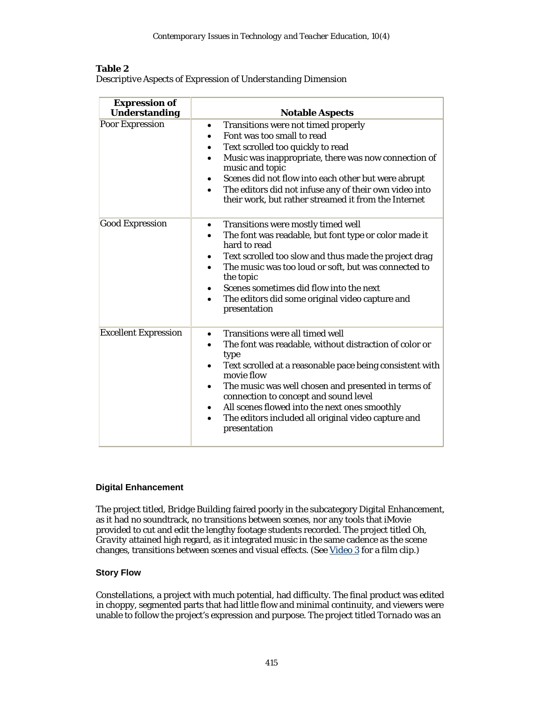# **Table 2**

| <b>Expression of</b><br><b>Understanding</b> | <b>Notable Aspects</b>                                                                                                                                                                                                                                                                                                                                                                                                                         |
|----------------------------------------------|------------------------------------------------------------------------------------------------------------------------------------------------------------------------------------------------------------------------------------------------------------------------------------------------------------------------------------------------------------------------------------------------------------------------------------------------|
| <b>Poor Expression</b>                       | Transitions were not timed properly<br>$\bullet$<br>Font was too small to read<br>$\bullet$<br>Text scrolled too quickly to read<br>Music was inappropriate, there was now connection of<br>$\bullet$<br>music and topic<br>Scenes did not flow into each other but were abrupt<br>The editors did not infuse any of their own video into<br>$\bullet$<br>their work, but rather streamed it from the Internet                                 |
| <b>Good Expression</b>                       | Transitions were mostly timed well<br>٠<br>The font was readable, but font type or color made it<br>$\bullet$<br>hard to read<br>Text scrolled too slow and thus made the project drag<br>٠<br>The music was too loud or soft, but was connected to<br>the topic<br>Scenes sometimes did flow into the next<br>The editors did some original video capture and<br>$\bullet$<br>presentation                                                    |
| <b>Excellent Expression</b>                  | <b>Transitions were all timed well</b><br>٠<br>The font was readable, without distraction of color or<br>type<br>Text scrolled at a reasonable pace being consistent with<br>movie flow<br>The music was well chosen and presented in terms of<br>$\bullet$<br>connection to concept and sound level<br>All scenes flowed into the next ones smoothly<br>٠<br>The editors included all original video capture and<br>$\bullet$<br>presentation |

*Descriptive Aspects of Expression of Understanding Dimension*

# **Digital Enhancement**

The project titled, *Bridge Building* faired poorly in the subcategory Digital Enhancement, as it had no soundtrack, no transitions between scenes, nor any tools that iMovie provided to cut and edit the lengthy footage students recorded. The project titled *Oh, Gravity* attained high regard, as it integrated music in the same cadence as the scene changes, transitions between scenes and visual effects. (See Video 3 for a film clip.)

# **Story Flow**

*Constellations*, a project with much potential, had difficulty. The final product was edited in choppy, segmented parts that had little flow and minimal continuity, and viewers were unable to follow the project's expression and purpose. The project titled *Tornado* was an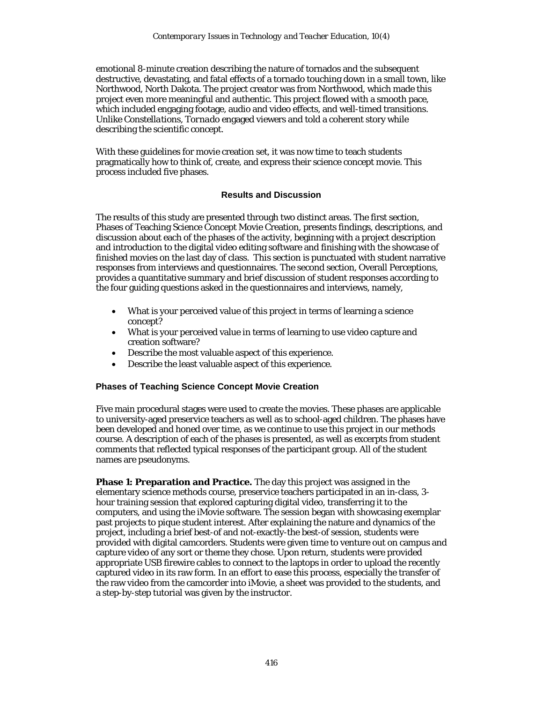emotional 8-minute creation describing the nature of tornados and the subsequent destructive, devastating, and fatal effects of a tornado touching down in a small town, like Northwood, North Dakota. The project creator was from Northwood, which made this project even more meaningful and authentic. This project flowed with a smooth pace, which included engaging footage, audio and video effects, and well-timed transitions. Unlike *Constellations*, *Tornado* engaged viewers and told a coherent story while describing the scientific concept.

With these guidelines for movie creation set, it was now time to teach students pragmatically how to think of, create, and express their science concept movie. This process included five phases.

### **Results and Discussion**

The results of this study are presented through two distinct areas. The first section, Phases of Teaching Science Concept Movie Creation, presents findings, descriptions, and discussion about each of the phases of the activity, beginning with a project description and introduction to the digital video editing software and finishing with the showcase of finished movies on the last day of class. This section is punctuated with student narrative responses from interviews and questionnaires. The second section, Overall Perceptions, provides a quantitative summary and brief discussion of student responses according to the four guiding questions asked in the questionnaires and interviews, namely,

- What is your perceived value of this project in terms of learning a science concept?
- What is your perceived value in terms of learning to use video capture and creation software?
- Describe the most valuable aspect of this experience.
- Describe the least valuable aspect of this experience.

### **Phases of Teaching Science Concept Movie Creation**

Five main procedural stages were used to create the movies. These phases are applicable to university-aged preservice teachers as well as to school-aged children. The phases have been developed and honed over time, as we continue to use this project in our methods course. A description of each of the phases is presented, as well as excerpts from student comments that reflected typical responses of the participant group. All of the student names are pseudonyms.

**Phase 1: Preparation and Practice.** The day this project was assigned in the elementary science methods course, preservice teachers participated in an in-class, 3 hour training session that explored capturing digital video, transferring it to the computers, and using the iMovie software. The session began with showcasing exemplar past projects to pique student interest. After explaining the nature and dynamics of the project, including a brief best-of and not-exactly-the best-of session, students were provided with digital camcorders. Students were given time to venture out on campus and capture video of any sort or theme they chose. Upon return, students were provided appropriate USB firewire cables to connect to the laptops in order to upload the recently captured video in its raw form. In an effort to ease this process, especially the transfer of the raw video from the camcorder into iMovie, a sheet was provided to the students, and a step-by-step tutorial was given by the instructor.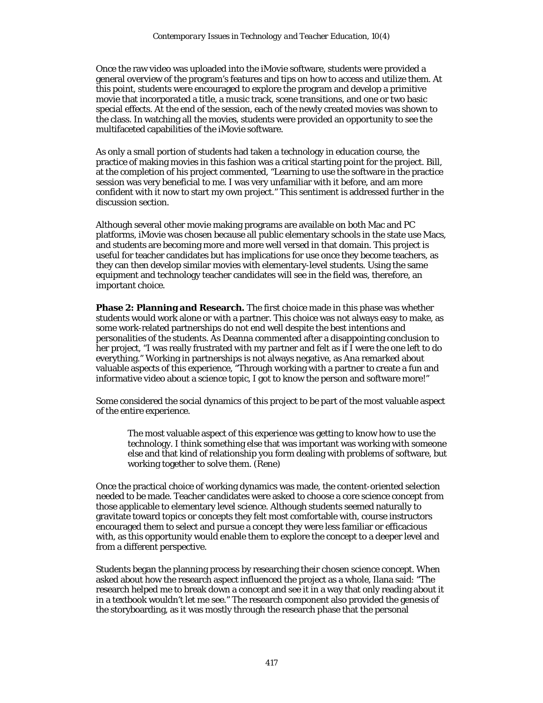Once the raw video was uploaded into the iMovie software, students were provided a general overview of the program's features and tips on how to access and utilize them. At this point, students were encouraged to explore the program and develop a primitive movie that incorporated a title, a music track, scene transitions, and one or two basic special effects. At the end of the session, each of the newly created movies was shown to the class. In watching all the movies, students were provided an opportunity to see the multifaceted capabilities of the iMovie software.

As only a small portion of students had taken a technology in education course, the practice of making movies in this fashion was a critical starting point for the project. Bill, at the completion of his project commented, "Learning to use the software in the practice session was very beneficial to me. I was very unfamiliar with it before, and am more confident with it now to start my own project." This sentiment is addressed further in the discussion section.

Although several other movie making programs are available on both Mac and PC platforms, iMovie was chosen because all public elementary schools in the state use Macs, and students are becoming more and more well versed in that domain. This project is useful for teacher candidates but has implications for use once they become teachers, as they can then develop similar movies with elementary-level students. Using the same equipment and technology teacher candidates will see in the field was, therefore, an important choice.

**Phase 2: Planning and Research.** The first choice made in this phase was whether students would work alone or with a partner. This choice was not always easy to make, as some work-related partnerships do not end well despite the best intentions and personalities of the students. As Deanna commented after a disappointing conclusion to her project, "I was really frustrated with my partner and felt as if I were the one left to do everything." Working in partnerships is not always negative, as Ana remarked about valuable aspects of this experience, "Through working with a partner to create a fun and informative video about a science topic, I got to know the person and software more!"

Some considered the social dynamics of this project to be part of the most valuable aspect of the entire experience.

The most valuable aspect of this experience was getting to know how to use the technology. I think something else that was important was working with someone else and that kind of relationship you form dealing with problems of software, but working together to solve them. (Rene)

Once the practical choice of working dynamics was made, the content-oriented selection needed to be made. Teacher candidates were asked to choose a core science concept from those applicable to elementary level science. Although students seemed naturally to gravitate toward topics or concepts they felt most comfortable with, course instructors encouraged them to select and pursue a concept they were less familiar or efficacious with, as this opportunity would enable them to explore the concept to a deeper level and from a different perspective.

Students began the planning process by researching their chosen science concept. When asked about how the research aspect influenced the project as a whole, Ilana said: "The research helped me to break down a concept and see it in a way that only reading about it in a textbook wouldn't let me see." The research component also provided the genesis of the storyboarding, as it was mostly through the research phase that the personal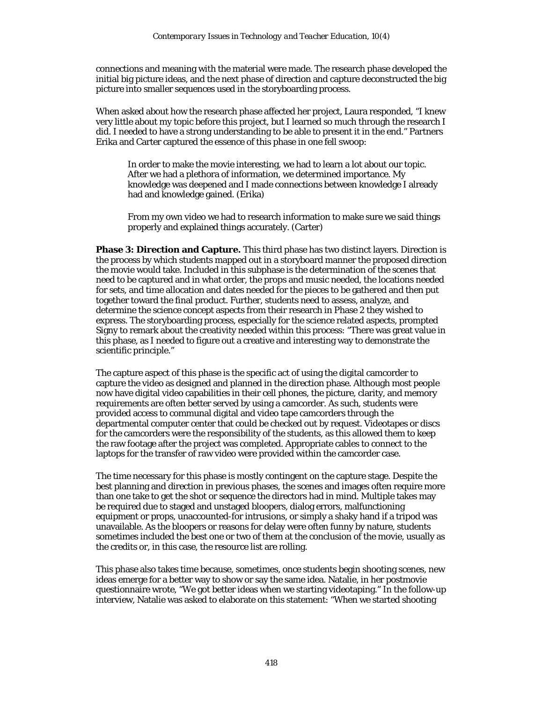connections and meaning with the material were made. The research phase developed the initial big picture ideas, and the next phase of direction and capture deconstructed the big picture into smaller sequences used in the storyboarding process.

When asked about how the research phase affected her project, Laura responded, "I knew very little about my topic before this project, but I learned so much through the research I did. I needed to have a strong understanding to be able to present it in the end." Partners Erika and Carter captured the essence of this phase in one fell swoop:

In order to make the movie interesting, we had to learn a lot about our topic. After we had a plethora of information, we determined importance. My knowledge was deepened and I made connections between knowledge I already had and knowledge gained. (Erika)

From my own video we had to research information to make sure we said things properly and explained things accurately. (Carter)

**Phase 3: Direction and Capture.** This third phase has two distinct layers. Direction is the process by which students mapped out in a storyboard manner the proposed direction the movie would take. Included in this subphase is the determination of the scenes that need to be captured and in what order, the props and music needed, the locations needed for sets, and time allocation and dates needed for the pieces to be gathered and then put together toward the final product. Further, students need to assess, analyze, and determine the science concept aspects from their research in Phase 2 they wished to express. The storyboarding process, especially for the science related aspects, prompted Signy to remark about the creativity needed within this process: "There was great value in this phase, as I needed to figure out a creative and interesting way to demonstrate the scientific principle."

The capture aspect of this phase is the specific act of using the digital camcorder to capture the video as designed and planned in the direction phase. Although most people now have digital video capabilities in their cell phones, the picture, clarity, and memory requirements are often better served by using a camcorder. As such, students were provided access to communal digital and video tape camcorders through the departmental computer center that could be checked out by request. Videotapes or discs for the camcorders were the responsibility of the students, as this allowed them to keep the raw footage after the project was completed. Appropriate cables to connect to the laptops for the transfer of raw video were provided within the camcorder case.

The time necessary for this phase is mostly contingent on the capture stage. Despite the best planning and direction in previous phases, the scenes and images often require more than one take to get the shot or sequence the directors had in mind. Multiple takes may be required due to staged and unstaged bloopers, dialog errors, malfunctioning equipment or props, unaccounted-for intrusions, or simply a shaky hand if a tripod was unavailable. As the bloopers or reasons for delay were often funny by nature, students sometimes included the best one or two of them at the conclusion of the movie, usually as the credits or, in this case, the resource list are rolling.

This phase also takes time because, sometimes, once students begin shooting scenes, new ideas emerge for a better way to show or say the same idea. Natalie, in her postmovie questionnaire wrote, "We got better ideas when we starting videotaping." In the follow-up interview, Natalie was asked to elaborate on this statement: "When we started shooting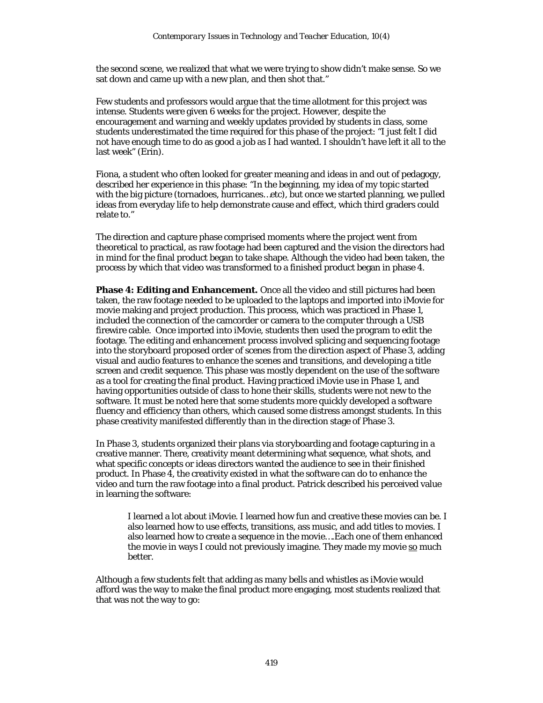the second scene, we realized that what we were trying to show didn't make sense. So we sat down and came up with a new plan, and then shot that."

Few students and professors would argue that the time allotment for this project was intense. Students were given 6 weeks for the project. However, despite the encouragement and warning and weekly updates provided by students in class, some students underestimated the time required for this phase of the project: "I just felt I did not have enough time to do as good a job as I had wanted. I shouldn't have left it all to the last week" (Erin).

Fiona, a student who often looked for greater meaning and ideas in and out of pedagogy, described her experience in this phase: "In the beginning, my idea of my topic started with the big picture (tornadoes, hurricanes…etc), but once we started planning, we pulled ideas from everyday life to help demonstrate cause and effect, which third graders could relate to."

The direction and capture phase comprised moments where the project went from theoretical to practical, as raw footage had been captured and the vision the directors had in mind for the final product began to take shape. Although the video had been taken, the process by which that video was transformed to a finished product began in phase 4.

**Phase 4: Editing and Enhancement.** Once all the video and still pictures had been taken, the raw footage needed to be uploaded to the laptops and imported into iMovie for movie making and project production. This process, which was practiced in Phase 1, included the connection of the camcorder or camera to the computer through a USB firewire cable. Once imported into iMovie, students then used the program to edit the footage. The editing and enhancement process involved splicing and sequencing footage into the storyboard proposed order of scenes from the direction aspect of Phase 3, adding visual and audio features to enhance the scenes and transitions, and developing a title screen and credit sequence. This phase was mostly dependent on the use of the software as a tool for creating the final product. Having practiced iMovie use in Phase 1, and having opportunities outside of class to hone their skills, students were not new to the software. It must be noted here that some students more quickly developed a software fluency and efficiency than others, which caused some distress amongst students. In this phase creativity manifested differently than in the direction stage of Phase 3.

In Phase 3, students organized their plans via storyboarding and footage capturing in a creative manner. There, creativity meant determining what sequence, what shots, and what specific concepts or ideas directors wanted the audience to see in their finished product. In Phase 4, the creativity existed in what the software can do to enhance the video and turn the raw footage into a final product. Patrick described his perceived value in learning the software:

I learned a lot about iMovie. I learned how fun and creative these movies can be. I also learned how to use effects, transitions, ass music, and add titles to movies. I also learned how to create a sequence in the movie….Each one of them enhanced the movie in ways I could not previously imagine. They made my movie so much better.

Although a few students felt that adding as many bells and whistles as iMovie would afford was the way to make the final product more engaging, most students realized that that was not the way to go: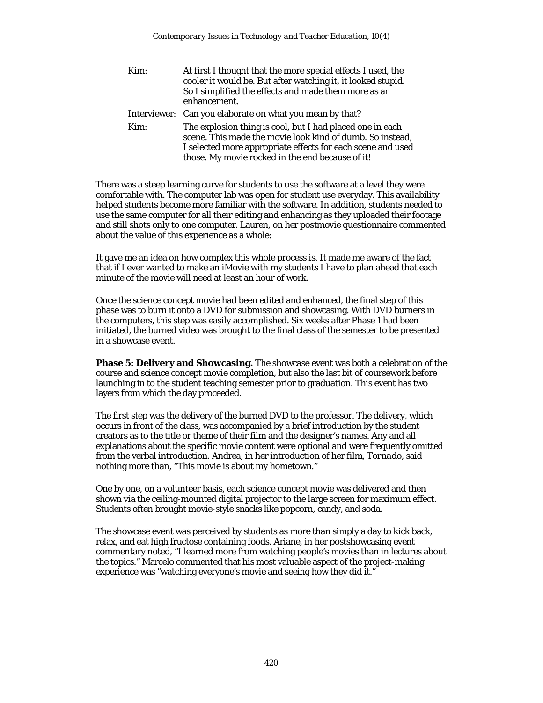Kim: At first I thought that the more special effects I used, the cooler it would be. But after watching it, it looked stupid. So I simplified the effects and made them more as an enhancement. Interviewer: Can you elaborate on what you mean by that? Kim: The explosion thing is cool, but I had placed one in each scene. This made the movie look kind of dumb. So instead, I selected more appropriate effects for each scene and used those. My movie rocked in the end because of it!

There was a steep learning curve for students to use the software at a level they were comfortable with. The computer lab was open for student use everyday. This availability helped students become more familiar with the software. In addition, students needed to use the same computer for all their editing and enhancing as they uploaded their footage and still shots only to one computer. Lauren, on her postmovie questionnaire commented about the value of this experience as a whole:

It gave me an idea on how complex this whole process is. It made me aware of the fact that if I ever wanted to make an iMovie with my students I have to plan ahead that each minute of the movie will need at least an hour of work.

Once the science concept movie had been edited and enhanced, the final step of this phase was to burn it onto a DVD for submission and showcasing. With DVD burners in the computers, this step was easily accomplished. Six weeks after Phase 1 had been initiated, the burned video was brought to the final class of the semester to be presented in a showcase event.

**Phase 5: Delivery and Showcasing.** The showcase event was both a celebration of the course and science concept movie completion, but also the last bit of coursework before launching in to the student teaching semester prior to graduation. This event has two layers from which the day proceeded.

The first step was the delivery of the burned DVD to the professor. The delivery, which occurs in front of the class, was accompanied by a brief introduction by the student creators as to the title or theme of their film and the designer's names. Any and all explanations about the specific movie content were optional and were frequently omitted from the verbal introduction. Andrea, in her introduction of her film, *Tornado*, said nothing more than, "This movie is about my hometown."

One by one, on a volunteer basis, each science concept movie was delivered and then shown via the ceiling-mounted digital projector to the large screen for maximum effect. Students often brought movie-style snacks like popcorn, candy, and soda.

The showcase event was perceived by students as more than simply a day to kick back, relax, and eat high fructose containing foods. Ariane, in her postshowcasing event commentary noted, "I learned more from watching people's movies than in lectures about the topics." Marcelo commented that his most valuable aspect of the project-making experience was "watching everyone's movie and seeing how they did it."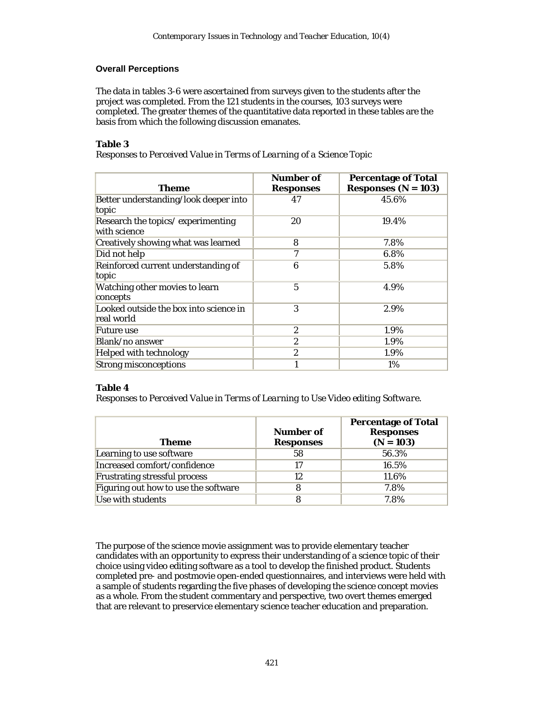# **Overall Perceptions**

The data in tables 3-6 were ascertained from surveys given to the students after the project was completed. From the 121 students in the courses, 103 surveys were completed. The greater themes of the quantitative data reported in these tables are the basis from which the following discussion emanates.

# **Table 3**

*Responses to Perceived Value in Terms of Learning of a Science Topic* 

| Theme                                                | Number of<br><b>Responses</b> | <b>Percentage of Total</b><br>Responses $(N=103)$ |
|------------------------------------------------------|-------------------------------|---------------------------------------------------|
| Better understanding/look deeper into<br>topic       | 47                            | 45.6%                                             |
| Research the topics/experimenting<br>with science    | 20                            | 19.4%                                             |
| Creatively showing what was learned                  | 8                             | 7.8%                                              |
| Did not help                                         | 7                             | 6.8%                                              |
| Reinforced current understanding of<br>topic         | 6                             | 5.8%                                              |
| Watching other movies to learn<br>concepts           | 5                             | 4.9%                                              |
| Looked outside the box into science in<br>real world | 3                             | 2.9%                                              |
| <b>Future use</b>                                    | $\boldsymbol{2}$              | 1.9%                                              |
| Blank/no answer                                      | $\overline{2}$                | 1.9%                                              |
| <b>Helped with technology</b>                        | $\boldsymbol{2}$              | 1.9%                                              |
| <b>Strong misconceptions</b>                         | 1                             | $1\%$                                             |

# **Table 4**

*Responses to Perceived Value in Terms of Learning to Use Video editing Software.*

| Theme                                | <b>Number of</b><br><b>Responses</b> | <b>Percentage of Total</b><br><b>Responses</b><br>$(N = 103)$ |
|--------------------------------------|--------------------------------------|---------------------------------------------------------------|
| Learning to use software             | 58                                   | 56.3%                                                         |
| Increased comfort/confidence         | 17                                   | 16.5%                                                         |
| <b>Frustrating stressful process</b> | 12                                   | 11.6%                                                         |
| Figuring out how to use the software |                                      | 7.8%                                                          |
| Use with students                    |                                      | 7.8%                                                          |

The purpose of the science movie assignment was to provide elementary teacher candidates with an opportunity to express their understanding of a science topic of their choice using video editing software as a tool to develop the finished product. Students completed pre- and postmovie open-ended questionnaires, and interviews were held with a sample of students regarding the five phases of developing the science concept movies as a whole. From the student commentary and perspective, two overt themes emerged that are relevant to preservice elementary science teacher education and preparation.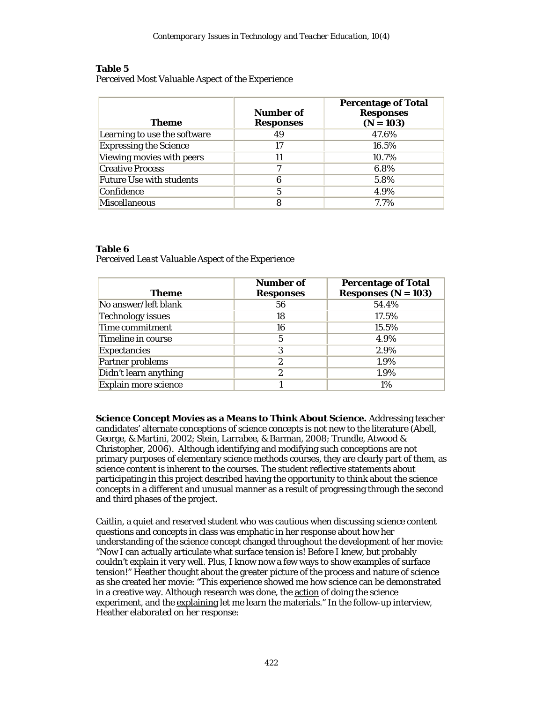### **Table 5**

*Perceived Most Valuable Aspect of the Experience*

| <b>Theme</b>                    | Number of<br><b>Responses</b> | <b>Percentage of Total</b><br><b>Responses</b><br>$(N = 103)$ |
|---------------------------------|-------------------------------|---------------------------------------------------------------|
| Learning to use the software    | 49                            | 47.6%                                                         |
| <b>Expressing the Science</b>   | 17                            | 16.5%                                                         |
| Viewing movies with peers       |                               | 10.7%                                                         |
| <b>Creative Process</b>         | ~                             | 6.8%                                                          |
| <b>Future Use with students</b> | 6                             | 5.8%                                                          |
| Confidence                      |                               | 4.9%                                                          |
| <b>Miscellaneous</b>            |                               | 7.7%                                                          |

# **Table 6**

*Perceived Least Valuable Aspect of the Experience*

| <b>Theme</b>             | <b>Number of</b><br><b>Responses</b> | <b>Percentage of Total</b><br>Responses $(N=103)$ |
|--------------------------|--------------------------------------|---------------------------------------------------|
| No answer/left blank     | 56                                   | 54.4%                                             |
| <b>Technology issues</b> | 18                                   | 17.5%                                             |
| Time commitment          | 16                                   | 15.5%                                             |
| Timeline in course       | 5                                    | 4.9%                                              |
| <b>Expectancies</b>      | 3                                    | 2.9%                                              |
| Partner problems         | 2                                    | 1.9%                                              |
| Didn't learn anything    | 2                                    | 1.9%                                              |
| Explain more science     |                                      | 1%                                                |

**Science Concept Movies as a Means to Think About Science.** Addressing teacher candidates' alternate conceptions of science concepts is not new to the literature (Abell, George, & Martini, 2002; Stein, Larrabee, & Barman, 2008; Trundle, Atwood & Christopher, 2006). Although identifying and modifying such conceptions are not primary purposes of elementary science methods courses, they are clearly part of them, as science content is inherent to the courses. The student reflective statements about participating in this project described having the opportunity to think about the science concepts in a different and unusual manner as a result of progressing through the second and third phases of the project.

Caitlin, a quiet and reserved student who was cautious when discussing science content questions and concepts in class was emphatic in her response about how her understanding of the science concept changed throughout the development of her movie: "Now I can actually articulate what surface tension is! Before I knew, but probably couldn't explain it very well. Plus, I know now a few ways to show examples of surface tension!" Heather thought about the greater picture of the process and nature of science as she created her movie: "This experience showed me how science can be demonstrated in a creative way. Although research was done, the action of doing the science experiment, and the explaining let me learn the materials." In the follow-up interview, Heather elaborated on her response: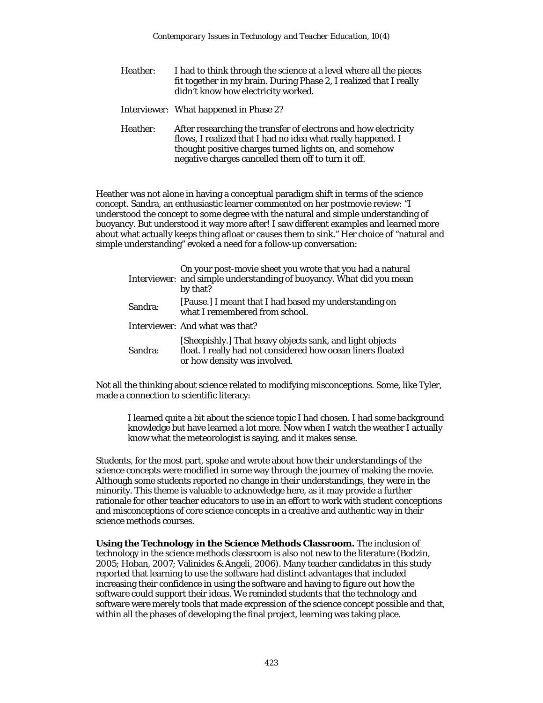- Heather: I had to think through the science at a level where all the pieces fit together in my brain. During Phase 2, I realized that I really didn't know how electricity worked.
- Interviewer: What happened in Phase 2?
- Heather: After researching the transfer of electrons and how electricity flows, I realized that I had no idea what really happened. I thought positive charges turned lights on, and somehow negative charges cancelled them off to turn it off.

Heather was not alone in having a conceptual paradigm shift in terms of the science concept. Sandra, an enthusiastic learner commented on her postmovie review: "I understood the concept to some degree with the natural and simple understanding of buoyancy. But understood it way more after! I saw different examples and learned more about what actually keeps thing afloat or causes them to sink." Her choice of "natural and simple understanding" evoked a need for a follow-up conversation:

|         | On your post-movie sheet you wrote that you had a natural<br>Interviewer: and simple understanding of buoyancy. What did you mean<br>by that?           |
|---------|---------------------------------------------------------------------------------------------------------------------------------------------------------|
| Sandra: | [Pause.] I meant that I had based my understanding on<br>what I remembered from school.                                                                 |
|         | Interviewer: And what was that?                                                                                                                         |
| Sandra: | [Sheepishly.] That heavy objects sank, and light objects<br>float. I really had not considered how ocean liners floated<br>or how density was involved. |

Not all the thinking about science related to modifying misconceptions. Some, like Tyler, made a connection to scientific literacy:

I learned quite a bit about the science topic I had chosen. I had some background knowledge but have learned a lot more. Now when I watch the weather I actually know what the meteorologist is saying, and it makes sense.

Students, for the most part, spoke and wrote about how their understandings of the science concepts were modified in some way through the journey of making the movie. Although some students reported no change in their understandings, they were in the minority. This theme is valuable to acknowledge here, as it may provide a further rationale for other teacher educators to use in an effort to work with student conceptions and misconceptions of core science concepts in a creative and authentic way in their science methods courses.

**Using the Technology in the Science Methods Classroom.** The inclusion of technology in the science methods classroom is also not new to the literature (Bodzin, 2005; Hoban, 2007; Valinides & Angeli, 2006). Many teacher candidates in this study reported that learning to use the software had distinct advantages that included increasing their confidence in using the software and having to figure out how the software could support their ideas. We reminded students that the technology and software were merely tools that made expression of the science concept possible and that, within all the phases of developing the final project, learning was taking place.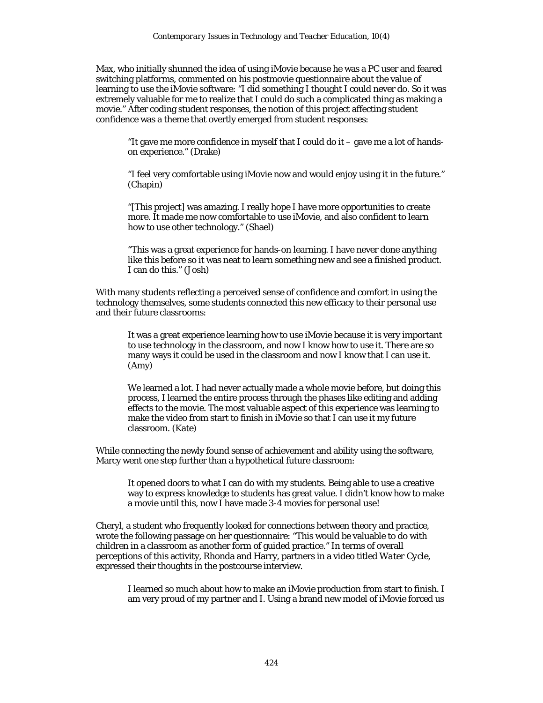Max, who initially shunned the idea of using iMovie because he was a PC user and feared switching platforms, commented on his postmovie questionnaire about the value of learning to use the iMovie software: "I did something I thought I could never do. So it was extremely valuable for me to realize that I could do such a complicated thing as making a movie." After coding student responses, the notion of this project affecting student confidence was a theme that overtly emerged from student responses:

"It gave me more confidence in myself that I could do it – gave me a lot of handson experience." (Drake)

"I feel very comfortable using iMovie now and would enjoy using it in the future." (Chapin)

"[This project] was amazing. I really hope I have more opportunities to create more. It made me now comfortable to use iMovie, and also confident to learn how to use other technology." (Shael)

"This was a great experience for hands-on learning. I have never done anything like this before so it was neat to learn something new and see a finished product. I can do this." (Josh)

With many students reflecting a perceived sense of confidence and comfort in using the technology themselves, some students connected this new efficacy to their personal use and their future classrooms:

It was a great experience learning how to use iMovie because it is very important to use technology in the classroom, and now I know how to use it. There are so many ways it could be used in the classroom and now I know that I can use it. (Amy)

We learned a lot. I had never actually made a whole movie before, but doing this process, I learned the entire process through the phases like editing and adding effects to the movie. The most valuable aspect of this experience was learning to make the video from start to finish in iMovie so that I can use it my future classroom. (Kate)

While connecting the newly found sense of achievement and ability using the software, Marcy went one step further than a hypothetical future classroom:

It opened doors to what I can do with my students. Being able to use a creative way to express knowledge to students has great value. I didn't know how to make a movie until this, now I have made 3-4 movies for personal use!

Cheryl, a student who frequently looked for connections between theory and practice, wrote the following passage on her questionnaire: "This would be valuable to do with children in a classroom as another form of guided practice." In terms of overall perceptions of this activity, Rhonda and Harry, partners in a video titled *Water Cycle*, expressed their thoughts in the postcourse interview.

I learned so much about how to make an iMovie production from start to finish. I am very proud of my partner and I. Using a brand new model of iMovie forced us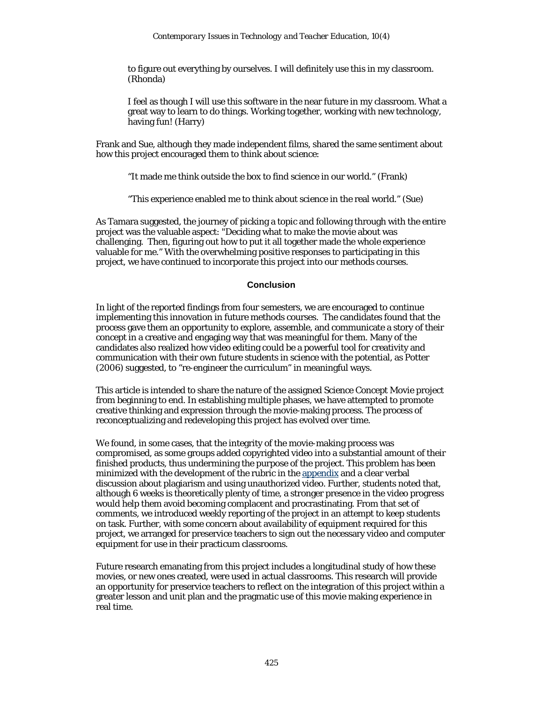to figure out everything by ourselves. I will definitely use this in my classroom. (Rhonda)

I feel as though I will use this software in the near future in my classroom. What a great way to learn to do things. Working together, working with new technology, having fun! (Harry)

Frank and Sue, although they made independent films, shared the same sentiment about how this project encouraged them to think about science:

"It made me think outside the box to find science in our world." (Frank)

"This experience enabled me to think about science in the real world." (Sue)

As Tamara suggested, the journey of picking a topic and following through with the entire project was the valuable aspect: "Deciding what to make the movie about was challenging. Then, figuring out how to put it all together made the whole experience valuable for me." With the overwhelming positive responses to participating in this project, we have continued to incorporate this project into our methods courses.

#### **Conclusion**

In light of the reported findings from four semesters, we are encouraged to continue implementing this innovation in future methods courses. The candidates found that the process gave them an opportunity to explore, assemble, and communicate a story of their concept in a creative and engaging way that was meaningful for them. Many of the candidates also realized how video editing could be a powerful tool for creativity and communication with their own future students in science with the potential, as Potter (2006) suggested, to "re-engineer the curriculum" in meaningful ways.

This article is intended to share the nature of the assigned Science Concept Movie project from beginning to end. In establishing multiple phases, we have attempted to promote creative thinking and expression through the movie-making process. The process of reconceptualizing and redeveloping this project has evolved over time.

We found, in some cases, that the integrity of the movie-making process was compromised, as some groups added copyrighted video into a substantial amount of their finished products, thus undermining the purpose of the project. This problem has been minimized with the development of the rubric in the appendix and a clear verbal discussion about plagiarism and using unauthorized video. Further, students noted that, although 6 weeks is theoretically plenty of time, a stronger presence in the video progress would help them avoid becoming complacent and procrastinating. From that set of comments, we introduced weekly reporting of the project in an attempt to keep students on task. Further, with some concern about availability of equipment required for this project, we arranged for preservice teachers to sign out the necessary video and computer equipment for use in their practicum classrooms.

Future research emanating from this project includes a longitudinal study of how these movies, or new ones created, were used in actual classrooms. This research will provide an opportunity for preservice teachers to reflect on the integration of this project within a greater lesson and unit plan and the pragmatic use of this movie making experience in real time.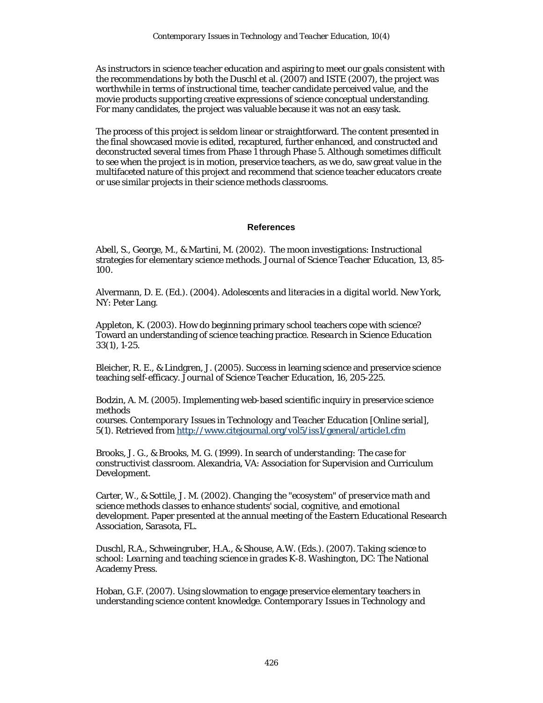As instructors in science teacher education and aspiring to meet our goals consistent with the recommendations by both the Duschl et al. (2007) and ISTE (2007), the project was worthwhile in terms of instructional time, teacher candidate perceived value, and the movie products supporting creative expressions of science conceptual understanding. For many candidates, the project was valuable because it was not an easy task.

The process of this project is seldom linear or straightforward. The content presented in the final showcased movie is edited, recaptured, further enhanced, and constructed and deconstructed several times from Phase 1 through Phase 5. Although sometimes difficult to see when the project is in motion, preservice teachers, as we do, saw great value in the multifaceted nature of this project and recommend that science teacher educators create or use similar projects in their science methods classrooms.

### **References**

Abell, S., George, M., & Martini, M. (2002). The moon investigations: Instructional strategies for elementary science methods. *Journal of Science Teacher Education*, *13*, 85- 100.

Alvermann, D. E. (Ed.). (2004). *Adolescents and literacies in a digital world*. New York, NY: Peter Lang.

Appleton, K. (2003). How do beginning primary school teachers cope with science? Toward an understanding of science teaching practice. *Research in Science Education 33*(1), 1-25.

Bleicher, R. E., & Lindgren, J. (2005). Success in learning science and preservice science teaching self-efficacy. *Journal of Science Teacher Education, 16*, 205-225.

Bodzin, A. M. (2005). Implementing web-based scientific inquiry in preservice science methods

courses. *Contemporary Issues in Technology and Teacher Education* [Online serial], *5*(1). Retrieved from http://www.citejournal.org/vol5/iss1/general/article1.cfm

Brooks, J. G., & Brooks, M. G. (1999). *In search of understanding: The case for constructivist classroom*. Alexandria, VA: Association for Supervision and Curriculum Development.

Carter, W., & Sottile, J. M. (2002). *Changing the "ecosystem" of preservice math and science methods classes to enhance students' social, cognitive, and emotional development*. Paper presented at the annual meeting of the Eastern Educational Research Association, Sarasota, FL.

Duschl, R.A., Schweingruber, H.A., & Shouse, A.W. (Eds.). (2007). *Taking science to school: Learning and teaching science in grades K-8*. Washington, DC: The National Academy Press.

Hoban, G.F. (2007). Using slowmation to engage preservice elementary teachers in understanding science content knowledge. *Contemporary Issues in Technology and*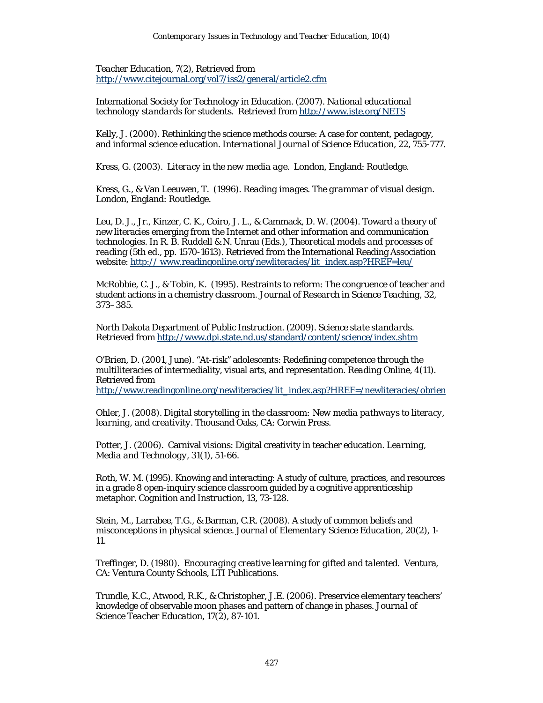*Teacher Education*, 7(2), Retrieved from http://www.citejournal.org/vol7/iss2/general/article2.cfm

International Society for Technology in Education. (2007). *National educational technology standards for students*. Retrieved from http://www.iste.org/NETS

Kelly, J. (2000). Rethinking the science methods course: A case for content, pedagogy, and informal science education. *International Journal of Science Education, 22*, 755-777.

Kress, G. (2003). *Literacy in the new media age.* London, England: Routledge.

Kress, G., & Van Leeuwen, T. (1996). *Reading images. The grammar of visual design*. London, England: Routledge.

Leu, D. J., Jr., Kinzer, C. K., Coiro, J. L., & Cammack, D. W. (2004). Toward a theory of new literacies emerging from the Internet and other information and communication technologies. In R. B. Ruddell & N. Unrau (Eds.), *Theoretical models and processes of reading* (5th ed., pp. 1570-1613). Retrieved from the International Reading Association website: http:// www.readingonline.org/newliteracies/lit\_index.asp?HREF=leu/

McRobbie, C. J., & Tobin, K. (1995). Restraints to reform: The congruence of teacher and student actions in a chemistry classroom. *Journal of Research in Science Teaching, 32*, 373–385.

North Dakota Department of Public Instruction. (2009). *Science state standards*. Retrieved from http://www.dpi.state.nd.us/standard/content/science/index.shtm

O'Brien, D. (2001, June). "At-risk" adolescents: Redefining competence through the multiliteracies of intermediality, visual arts, and representation. *Reading Online*, *4*(11). Retrieved from

http://www.readingonline.org/newliteracies/lit\_index.asp?HREF=/newliteracies/obrien

Ohler, J. (2008). *Digital storytelling in the classroom: New media pathways to literacy, learning, and creativity*. Thousand Oaks, CA: Corwin Press.

Potter, J. (2006). Carnival visions: Digital creativity in teacher education. *Learning, Media and Technology, 31*(1), 51-66.

Roth, W. M. (1995). Knowing and interacting: A study of culture, practices, and resources in a grade 8 open-inquiry science classroom guided by a cognitive apprenticeship metaphor. *Cognition and Instruction, 13*, 73-128.

Stein, M., Larrabee, T.G., & Barman, C.R. (2008). A study of common beliefs and misconceptions in physical science. *Journal of Elementary Science Education*, *20*(2), 1- 11.

Treffinger, D. (1980). *Encouraging creative learning for gifted and talented.* Ventura, CA: Ventura County Schools, LTI Publications.

Trundle, K.C., Atwood, R.K., & Christopher, J.E. (2006). Preservice elementary teachers' knowledge of observable moon phases and pattern of change in phases. *Journal of Science Teacher Education*, *17*(2), 87-101.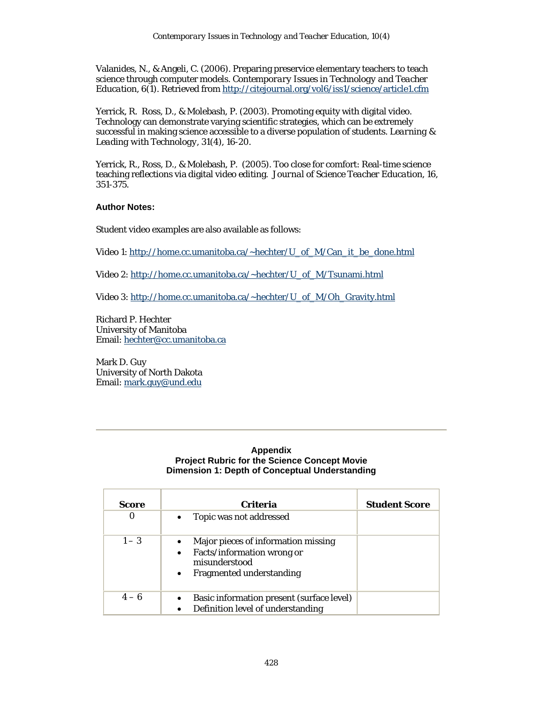Valanides, N., & Angeli, C. (2006). Preparing preservice elementary teachers to teach science through computer models. *Contemporary Issues in Technology and Teacher Education*, *6*(1). Retrieved from http://citejournal.org/vol6/iss1/science/article1.cfm

Yerrick, R. Ross, D., & Molebash, P. (2003). Promoting equity with digital video. Technology can demonstrate varying scientific strategies, which can be extremely successful in making science accessible to a diverse population of students. *Learning & Leading with Technology*, *31*(4), 16-20.

Yerrick, R., Ross, D., & Molebash, P. (2005). Too close for comfort: Real-time science teaching reflections via digital video editing. *Journal of Science Teacher Education, 16*, 351-375.

### **Author Notes:**

Student video examples are also available as follows:

Video 1: http://home.cc.umanitoba.ca/~hechter/U\_of\_M/Can\_it\_be\_done.html

Video 2: http://home.cc.umanitoba.ca/~hechter/U\_of\_M/Tsunami.html

Video 3: http://home.cc.umanitoba.ca/~hechter/U\_of\_M/Oh\_Gravity.html

Richard P. Hechter University of Manitoba Email: hechter@cc.umanitoba.ca

Mark D. Guy University of North Dakota Email: mark.guy@und.edu

### **Appendix Project Rubric for the Science Concept Movie Dimension 1: Depth of Conceptual Understanding**

| Score   | <b>Criteria</b>                                                                                                                    | <b>Student Score</b> |
|---------|------------------------------------------------------------------------------------------------------------------------------------|----------------------|
| 0       | Topic was not addressed                                                                                                            |                      |
| $1 - 3$ | Major pieces of information missing<br>Facts/information wrong or<br>misunderstood<br><b>Fragmented understanding</b><br>$\bullet$ |                      |
| $4 - 6$ | Basic information present (surface level)<br>Definition level of understanding                                                     |                      |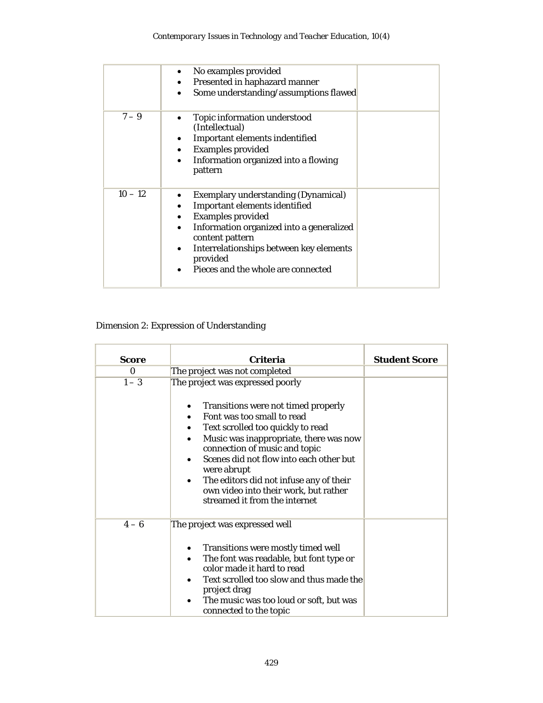|           | No examples provided<br>Presented in haphazard manner<br>Some understanding/assumptions flawed                                                                                                                                                                      |
|-----------|---------------------------------------------------------------------------------------------------------------------------------------------------------------------------------------------------------------------------------------------------------------------|
| $7 - 9$   | Topic information understood<br>(Intellectual)<br>Important elements indentified<br><b>Examples provided</b><br>$\bullet$<br>Information organized into a flowing<br>pattern                                                                                        |
| $10 - 12$ | <b>Exemplary understanding (Dynamical)</b><br>Important elements identified<br><b>Examples provided</b><br>Information organized into a generalized<br>content pattern<br>Interrelationships between key elements<br>provided<br>Pieces and the whole are connected |

# Dimension 2: Expression of Understanding

| <b>Score</b> | Criteria                                                                                                                                                                                                                                                                                                                                                                                | <b>Student Score</b> |
|--------------|-----------------------------------------------------------------------------------------------------------------------------------------------------------------------------------------------------------------------------------------------------------------------------------------------------------------------------------------------------------------------------------------|----------------------|
| $\Omega$     | The project was not completed                                                                                                                                                                                                                                                                                                                                                           |                      |
| $1 - 3$      | The project was expressed poorly                                                                                                                                                                                                                                                                                                                                                        |                      |
|              | Transitions were not timed properly<br>٠<br>Font was too small to read<br>Text scrolled too quickly to read<br>Music was inappropriate, there was now<br>٠<br>connection of music and topic<br>Scenes did not flow into each other but<br>were abrupt<br>The editors did not infuse any of their<br>$\bullet$<br>own video into their work, but rather<br>streamed it from the internet |                      |
| $4-6$        | The project was expressed well<br>Transitions were mostly timed well<br>٠<br>The font was readable, but font type or<br>$\bullet$<br>color made it hard to read<br>Text scrolled too slow and thus made the<br>project drag<br>The music was too loud or soft, but was<br>connected to the topic                                                                                        |                      |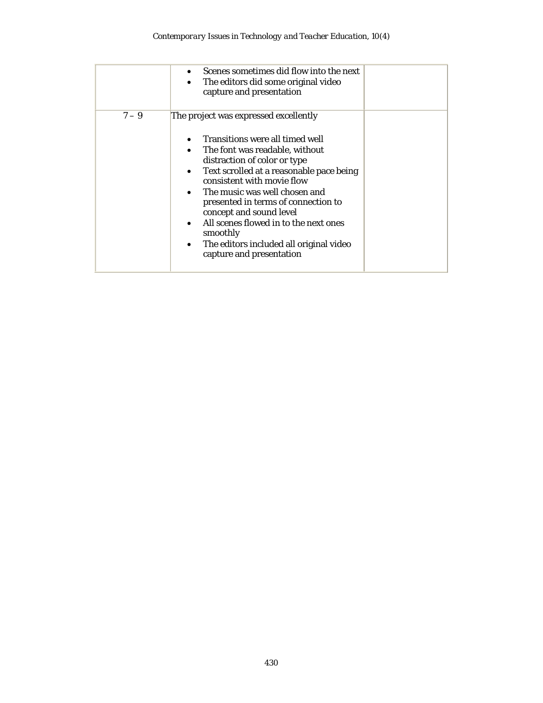|         | Scenes sometimes did flow into the next<br>The editors did some original video<br>$\bullet$<br>capture and presentation                                                                                                                                                                                                                                                                                                              |
|---------|--------------------------------------------------------------------------------------------------------------------------------------------------------------------------------------------------------------------------------------------------------------------------------------------------------------------------------------------------------------------------------------------------------------------------------------|
| $7 - 9$ | The project was expressed excellently                                                                                                                                                                                                                                                                                                                                                                                                |
|         | Transitions were all timed well<br>The font was readable, without<br>distraction of color or type<br>Text scrolled at a reasonable pace being<br>$\bullet$<br>consistent with movie flow<br>The music was well chosen and<br>$\bullet$<br>presented in terms of connection to<br>concept and sound level<br>All scenes flowed in to the next ones<br>smoothly<br>The editors included all original video<br>capture and presentation |